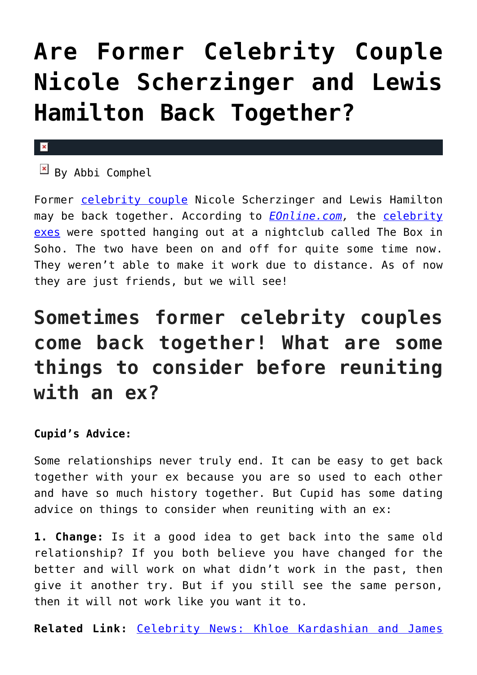## **[Are Former Celebrity Couple](https://cupidspulse.com/101487/former-celebrity-couple-nicole-scherzinger-lewis-hamilton-back-together/) [Nicole Scherzinger and Lewis](https://cupidspulse.com/101487/former-celebrity-couple-nicole-scherzinger-lewis-hamilton-back-together/) [Hamilton Back Together?](https://cupidspulse.com/101487/former-celebrity-couple-nicole-scherzinger-lewis-hamilton-back-together/)**

## $\pmb{\times}$

 $\boxed{\times}$  By Abbi Comphel

Former [celebrity couple](http://cupidspulse.com/celebrity-relationships/long-term-relationships-flings/) Nicole Scherzinger and Lewis Hamilton may be back together. According to *[EOnline.com](http://www.eonline.com/news/714255/nicole-scherzinger-and-ex-lewis-hamilton-spotted-at-london-nightclub-are-they-back-together),* the [celebrity](http://cupidspulse.com/celebrity-relationships/break-up-divorce/) [exes](http://cupidspulse.com/celebrity-relationships/break-up-divorce/) were spotted hanging out at a nightclub called The Box in Soho. The two have been on and off for quite some time now. They weren't able to make it work due to distance. As of now they are just friends, but we will see!

## **Sometimes former celebrity couples come back together! What are some things to consider before reuniting with an ex?**

## **Cupid's Advice:**

Some relationships never truly end. It can be easy to get back together with your ex because you are so used to each other and have so much history together. But Cupid has some dating advice on things to consider when reuniting with an ex:

**1. Change:** Is it a good idea to get back into the same old relationship? If you both believe you have changed for the better and will work on what didn't work in the past, then give it another try. But if you still see the same person, then it will not work like you want it to.

**Related Link:** [Celebrity News: Khloe Kardashian and James](http://cupidspulse.com/101458/celebrity-news-khloe-kardashian-james-harden-hollywood-club-together/)